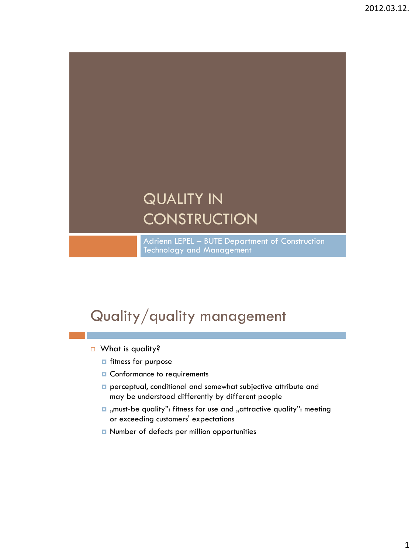# QUALITY IN **CONSTRUCTION**

Adrienn LEPEL – BUTE Department of Construction Technology and Management

# Quality/quality management

- □ What is quality?
	- **n** fitness for purpose
	- **D** Conformance to requirements
	- **p** perceptual, conditional and somewhat subjective attribute and may be understood differently by different people
	- $\blacksquare$  , must-be quality": fitness for use and , attractive quality": meeting or exceeding customers' expectations
	- Number of defects per million opportunities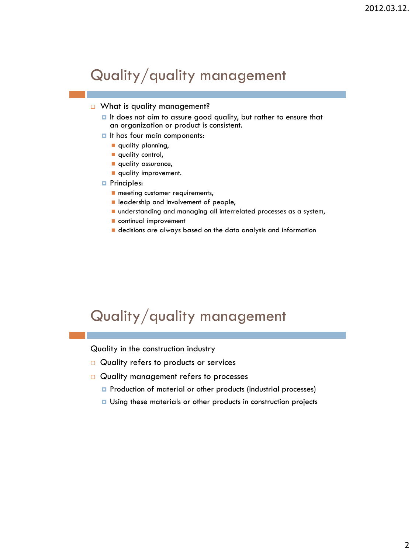# Quality/quality management

#### □ What is quality management?

- $\blacksquare$  It does not aim to assure good quality, but rather to ensure that an organization or product is consistent.
- $\blacksquare$  It has four main components:
	- quality planning,
	- quality control,
	- **quality assurance,**
	- **quality improvement.**

#### **Principles:**

- **n** meeting customer requirements,
- **Leadership and involvement of people,**
- understanding and managing all interrelated processes as a system,
- continual improvement
- decisions are always based on the data analysis and information

# Quality/quality management

Quality in the construction industry

- $\Box$  Quality refers to products or services
- $\Box$  Quality management refers to processes
	- **P** Production of material or other products (industrial processes)
	- **u** Using these materials or other products in construction projects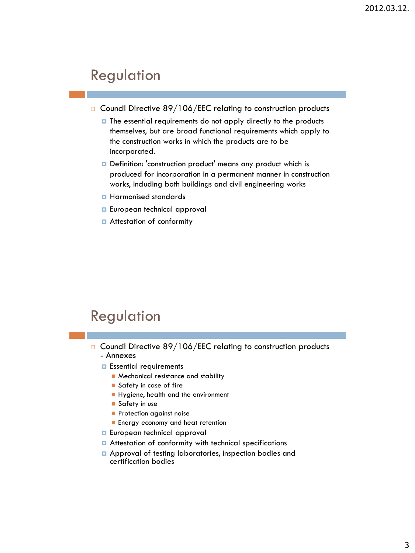## Regulation

- $\Box$  Council Directive 89/106/EEC relating to construction products
	- $\blacksquare$  The essential requirements do not apply directly to the products themselves, but are broad functional requirements which apply to the construction works in which the products are to be incorporated.
	- Definition: 'construction product' means any product which is produced for incorporation in a permanent manner in construction works, including both buildings and civil engineering works
	- **Harmonised standards**
	- **European technical approval**
	- **E** Attestation of conformity

# Regulation

- $\Box$  Council Directive 89/106/EEC relating to construction products - Annexes
	- **E** Essential requirements
		- **Mechanical resistance and stability**
		- Safety in case of fire
		- Hygiene, health and the environment
		- Safety in use
		- **Protection against noise**
		- **Energy economy and heat retention**
	- **European technical approval**
	- **E** Attestation of conformity with technical specifications
	- **Approval of testing laboratories, inspection bodies and** certification bodies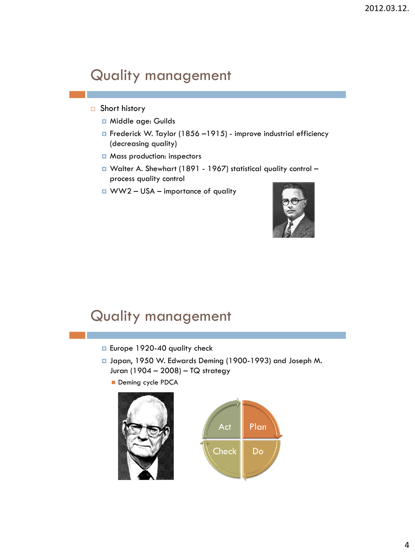#### Short history

- **n** Middle age: Guilds
- Frederick W. Taylor (1856 –1915) improve industrial efficiency (decreasing quality)
- **D** Mass production: inspectors
- Walter A. Shewhart (1891 1967) statistical quality control process quality control
- WW2 USA importance of quality



- **E** Europe 1920-40 quality check
- Japan, 1950 W. Edwards Deming (1900-1993) and Joseph M. Juran (1904 – 2008) – TQ strategy
	- Deming cycle PDCA

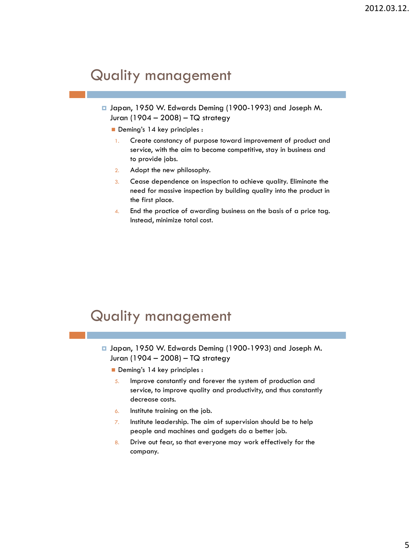- □ Japan, 1950 W. Edwards Deming (1900-1993) and Joseph M. Juran (1904 – 2008) – TQ strategy
	- Deming's 14 key principles :
	- 1. Create constancy of purpose toward improvement of product and service, with the aim to become competitive, stay in business and to provide jobs.
	- 2. Adopt the new philosophy.
	- 3. Cease dependence on inspection to achieve quality. Eliminate the need for massive inspection by building quality into the product in the first place.
	- 4. End the practice of awarding business on the basis of a price tag. Instead, minimize total cost.

- □ Japan, 1950 W. Edwards Deming (1900-1993) and Joseph M. Juran (1904 – 2008) – TQ strategy
	- Deming's 14 key principles :
	- 5. Improve constantly and forever the system of production and service, to improve quality and productivity, and thus constantly decrease costs.
	- 6. Institute training on the job.
	- $\overline{z}$ . Institute leadership. The aim of supervision should be to help people and machines and gadgets do a better job.
	- 8. Drive out fear, so that everyone may work effectively for the company.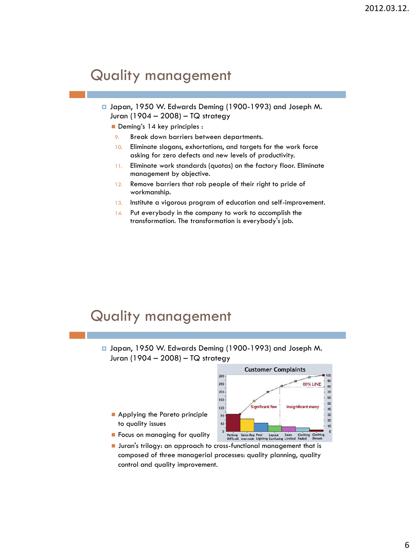Japan, 1950 W. Edwards Deming (1900-1993) and Joseph M. Juran (1904 – 2008) – TQ strategy

Deming's 14 key principles :

- 9. Break down barriers between departments.
- 10. Eliminate slogans, exhortations, and targets for the work force asking for zero defects and new levels of productivity.
- 11. Eliminate work standards (quotas) on the factory floor. Eliminate management by objective.
- 12. Remove barriers that rob people of their right to pride of workmanship.
- 13. Institute a vigorous program of education and self-improvement.
- 14. Put everybody in the company to work to accomplish the transformation. The transformation is everybody's job.

- □ Japan, 1950 W. Edwards Deming (1900-1993) and Joseph M. Juran (1904 – 2008) – TQ strategy
	- **Applying the Pareto principle** to quality issues



- **Focus on managing for quality**
- **Juran's trilogy: an approach to cross-functional management that is** composed of three managerial processes: quality planning, quality control and quality improvement.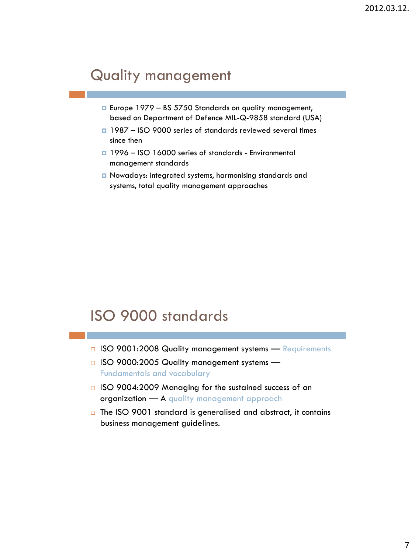- □ Europe 1979 BS 5750 Standards on quality management, based on Department of Defence MIL-Q-9858 standard (USA)
- 1987 ISO 9000 series of standards reviewed several times since then
- **1996 ISO 16000 series of standards Environmental** management standards
- Nowadays: integrated systems, harmonising standards and systems, total quality management approaches

# ISO 9000 standards

- □ ISO 9001:2008 Quality management systems Requirements
- □ ISO 9000:2005 Quality management systems Fundamentals and vocabulary
- □ ISO 9004:2009 Managing for the sustained success of an organization - A quality management approach
- $\Box$  The ISO 9001 standard is generalised and abstract, it contains business management guidelines.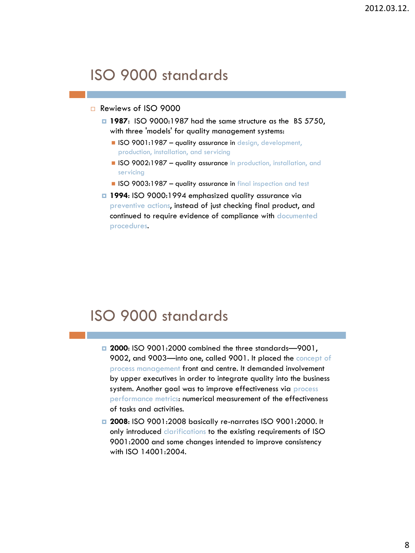# ISO 9000 standards

#### Rewiews of ISO 9000

- **1987**: ISO 9000:1987 had the same structure as the BS 5750, with three 'models' for quality management systems:
	- **ISO 9001:1987 quality assurance in design, development,** production, installation, and servicing
	- **ISO 9002:1987 quality assurance in** production, installation, and servicing
	- **ISO 9003:1987 quality assurance in final inspection and test**
- **1994**: ISO 9000:1994 emphasized quality assurance via preventive actions, instead of just checking final product, and continued to require evidence of compliance with documented procedures.

# ISO 9000 standards

- **2000**: ISO 9001:2000 combined the three standards—9001, 9002, and 9003-into one, called 9001. It placed the concept of process management front and centre. It demanded involvement by upper executives in order to integrate quality into the business system. Another goal was to improve effectiveness via process performance metrics: numerical measurement of the effectiveness of tasks and activities.
- **2008**: ISO 9001:2008 basically re-narrates ISO 9001:2000. It only introduced clarifications to the existing requirements of ISO 9001:2000 and some changes intended to improve consistency with ISO 14001:2004.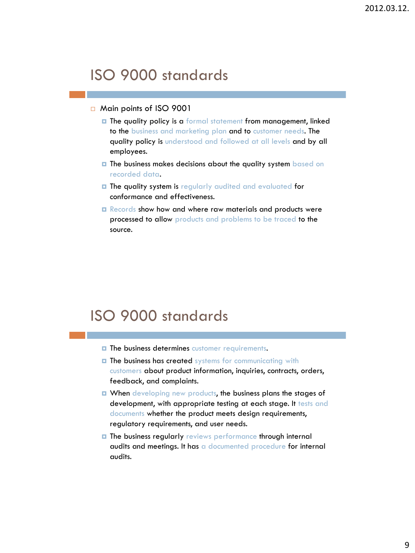# ISO 9000 standards

- □ Main points of ISO 9001
	- **□** The quality policy is a formal statement from management, linked to the business and marketing plan and to customer needs. The quality policy is understood and followed at all levels and by all employees.
	- $\blacksquare$  The business makes decisions about the quality system based on recorded data.
	- $\blacksquare$  The quality system is regularly audited and evaluated for conformance and effectiveness.
	- Records show how and where raw materials and products were processed to allow products and problems to be traced to the source.

# ISO 9000 standards

- $\blacksquare$  The business determines customer requirements.
- **The business has created systems for communicating with** customers about product information, inquiries, contracts, orders, feedback, and complaints.
- **D** When developing new products, the business plans the stages of development, with appropriate testing at each stage. It tests and documents whether the product meets design requirements, regulatory requirements, and user needs.
- The business regularly reviews performance through internal audits and meetings. It has a documented procedure for internal audits.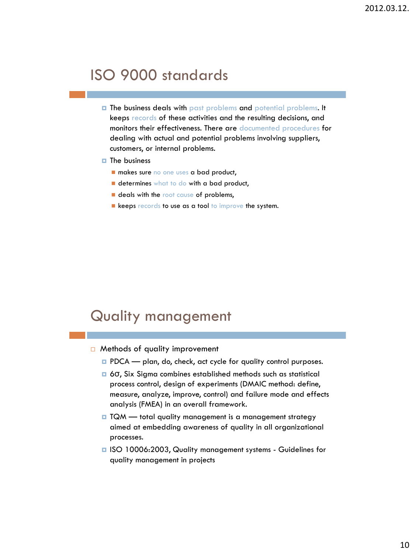# ISO 9000 standards

- **The business deals with past problems and potential problems. It** keeps records of these activities and the resulting decisions, and monitors their effectiveness. There are documented procedures for dealing with actual and potential problems involving suppliers, customers, or internal problems.
- $\blacksquare$  The business
	- makes sure no one uses a bad product,
	- determines what to do with a bad product,
	- **deals with the root cause of problems,**
	- Reeps records to use as a tool to improve the system.

- $\Box$  Methods of quality improvement
	- **PDCA** plan, do, check, act cycle for quality control purposes.
	- 6σ, Six Sigma combines established methods such as statistical process control, design of experiments (DMAIC method: define, measure, analyze, improve, control) and failure mode and effects analysis (FMEA) in an overall framework.
	- □ TQM total quality management is a management strategy aimed at embedding awareness of quality in all organizational processes.
	- ISO 10006:2003, Quality management systems Guidelines for quality management in projects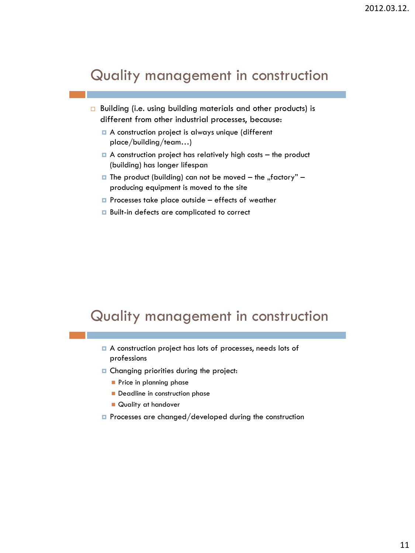#### Quality management in construction

- □ Building (i.e. using building materials and other products) is different from other industrial processes, because:
	- A construction project is always unique (different place/building/team…)
	- $\Box$  A construction project has relatively high costs the product (building) has longer lifespan
	- $\Box$  The product (building) can not be moved the "factory" producing equipment is moved to the site
	- $\Box$  Processes take place outside effects of weather
	- Built-in defects are complicated to correct

## Quality management in construction

- A construction project has lots of processes, needs lots of professions
- **Q** Changing priorities during the project:
	- **Price in planning phase**
	- Deadline in construction phase
	- Quality at handover
- $\blacksquare$  Processes are changed/developed during the construction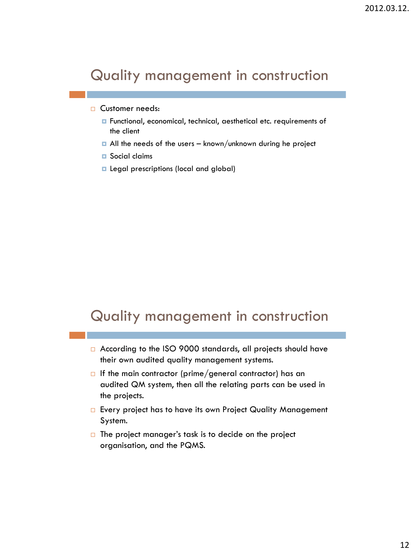## Quality management in construction

#### □ Customer needs:

- **n** Functional, economical, technical, aesthetical etc. requirements of the client
- $\Box$  All the needs of the users known/unknown during he project
- **□** Social claims
- **Legal prescriptions (local and global)**

## Quality management in construction

- □ According to the ISO 9000 standards, all projects should have their own audited quality management systems.
- If the main contractor (prime/general contractor) has an audited QM system, then all the relating parts can be used in the projects.
- □ Every project has to have its own Project Quality Management System.
- $\Box$  The project manager's task is to decide on the project organisation, and the PQMS.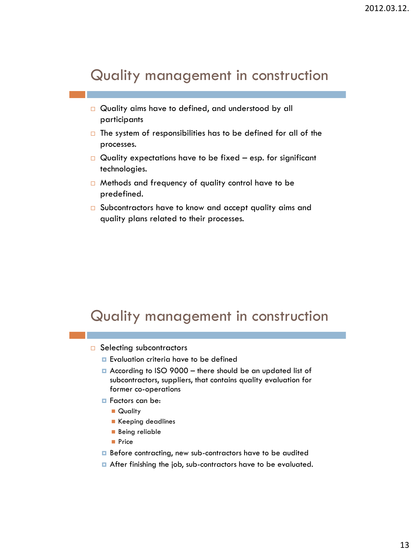## Quality management in construction

- □ Quality aims have to defined, and understood by all participants
- $\Box$  The system of responsibilities has to be defined for all of the processes.
- $\Box$  Quality expectations have to be fixed esp. for significant technologies.
- $\Box$  Methods and frequency of quality control have to be predefined.
- $\square$  Subcontractors have to know and accept quality aims and quality plans related to their processes.

# Quality management in construction

- $\Box$  Selecting subcontractors
	- **Exaluation criteria have to be defined**
	- According to ISO 9000 there should be an updated list of subcontractors, suppliers, that contains quality evaluation for former co-operations
	- **Factors can be:** 
		- **Quality**
		- Keeping deadlines
		- **Being reliable**
		- **Price**
	- **Before contracting, new sub-contractors have to be audited**
	- After finishing the job, sub-contractors have to be evaluated.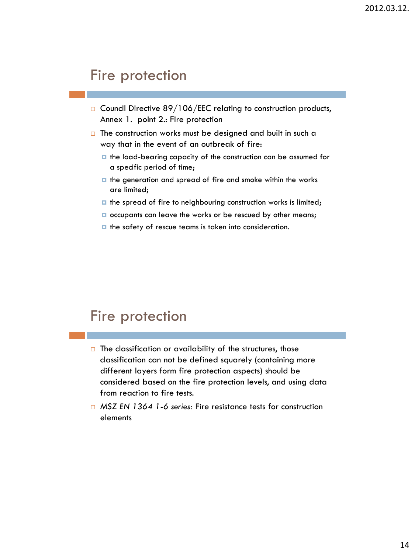- $\Box$  Council Directive 89/106/EEC relating to construction products, Annex 1. point 2.: Fire protection
- $\Box$  The construction works must be designed and built in such a way that in the event of an outbreak of fire:
	- $\blacksquare$  the load-bearing capacity of the construction can be assumed for a specific period of time;
	- $\blacksquare$  the generation and spread of fire and smoke within the works are limited;
	- $\blacksquare$  the spread of fire to neighbouring construction works is limited;
	- $\Box$  occupants can leave the works or be rescued by other means;
	- $\blacksquare$  the safety of rescue teams is taken into consideration.

# Fire protection

- $\Box$  The classification or availability of the structures, those classification can not be defined squarely (containing more different layers form fire protection aspects) should be considered based on the fire protection levels, and using data from reaction to fire tests.
- *MSZ EN 1364 1-6 series:* Fire resistance tests for construction elements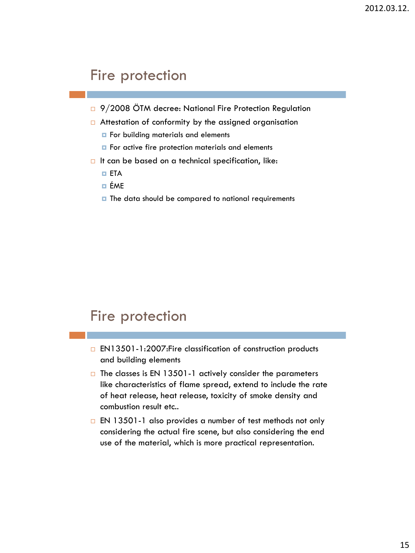- □ 9/2008 ÖTM decree: National Fire Protection Regulation
- □ Attestation of conformity by the assigned organisation
	- **For building materials and elements**
	- $\blacksquare$  For active fire protection materials and elements
- $\Box$  It can be based on a technical specification, like:
	- ETA
	- ÉME
	- $\blacksquare$  The data should be compared to national requirements

## Fire protection

- □ EN13501-1:2007: Fire classification of construction products and building elements
- $\Box$  The classes is EN 13501-1 actively consider the parameters like characteristics of flame spread, extend to include the rate of heat release, heat release, toxicity of smoke density and combustion result etc..
- EN 13501-1 also provides a number of test methods not only considering the actual fire scene, but also considering the end use of the material, which is more practical representation.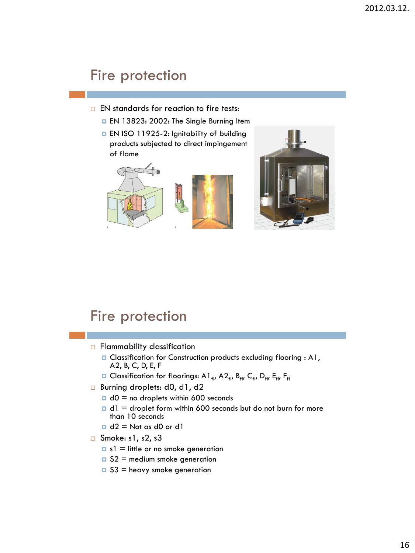- $\Box$  EN standards for reaction to fire tests:
	- **EN 13823: 2002: The Single Burning Item**
	- **EN ISO 11925-2: Ignitability of building** products subjected to direct impingement of flame





# Fire protection

- $\Box$  Flammability classification
	- **D** Classification for Construction products excluding flooring : A1, A2, B, C, D, E, F
	- **Q** Classification for floorings: A1<sub>fl</sub>, A2<sub>fl</sub>, B<sub>fl</sub>, C<sub>fl</sub>, D<sub>fl</sub>, E<sub>fl</sub>, F<sub>fl</sub>
- □ Burning droplets: d0, d1, d2
	- $\Box$  d0 = no droplets within 600 seconds
	- $\blacksquare$  d1 = droplet form within 600 seconds but do not burn for more than 10 seconds
	- $\Box$  d2 = Not as d0 or d1
- $\Box$  Smoke: s1, s2, s3
	- $\blacksquare$  s1 = little or no smoke generation
	- $\Box$  S2 = medium smoke generation
	- $\Box$  S3 = heavy smoke generation